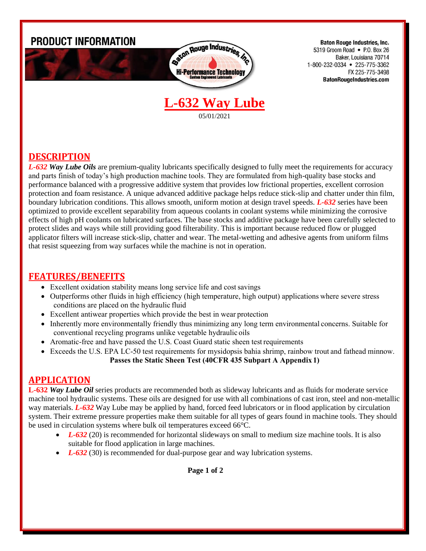

**DESCRIPTION**

*L-632 Way Lube Oils* are premium-quality lubricants specifically designed to fully meet the requirements for accuracy and parts finish of today's high production machine tools. They are formulated from high-quality base stocks and performance balanced with a progressive additive system that provides low frictional properties, excellent corrosion protection and foam resistance. A unique advanced additive package helps reduce stick-slip and chatter under thin film, boundary lubrication conditions. This allows smooth, uniform motion at design travel speeds. *L-632* series have been optimized to provide excellent separability from aqueous coolants in coolant systems while minimizing the corrosive effects of high pH coolants on lubricated surfaces. The base stocks and additive package have been carefully selected to protect slides and ways while still providing good filterability. This is important because reduced flow or plugged applicator filters will increase stick-slip, chatter and wear. The metal-wetting and adhesive agents from uniform films that resist squeezing from way surfaces while the machine is not in operation.

## **FEATURES/BENEFITS**

- Excellent oxidation stability means long service life and cost savings
- Outperforms other fluids in high efficiency (high temperature, high output) applications where severe stress conditions are placed on the hydraulic fluid
- Excellent antiwear properties which provide the best in wear protection
- Inherently more environmentally friendly thus minimizing any long term environmental concerns. Suitable for conventional recycling programs unlike vegetable hydraulic oils
- Aromatic-free and have passed the U.S. Coast Guard static sheen test requirements
- Exceeds the U.S. EPA LC-50 test requirements for mysidopsis bahia shrimp, rainbow trout and fathead minnow. **Passes the Static Sheen Test (40CFR 435 Subpart A Appendix 1)**

## **APPLICATION**

**L-632** *Way Lube Oil* series products are recommended both as slideway lubricants and as fluids for moderate service machine tool hydraulic systems. These oils are designed for use with all combinations of cast iron, steel and non-metallic way materials. *L-632* Way Lube may be applied by hand, forced feed lubricators or in flood application by circulation system. Their extreme pressure properties make them suitable for all types of gears found in machine tools. They should be used in circulation systems where bulk oil temperatures exceed 66°C.

- *L-632* (20) is recommended for horizontal slideways on small to medium size machine tools. It is also suitable for flood application in large machines.
- *L-632* (30) is recommended for dual-purpose gear and way lubrication systems.

 **Page 1 of 2**